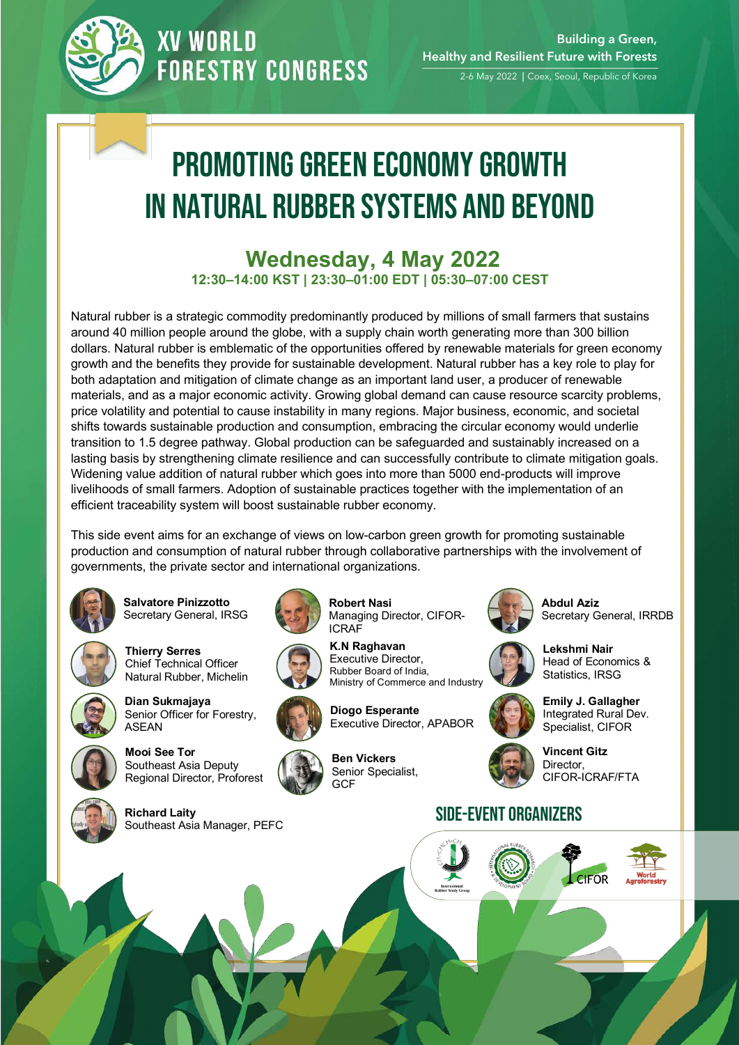

### **XV WORLD FORESTRY CONGRESS**

2-6 May 2022 | Coex, Seoul, Republic of Korea

# Promoting Green Economy Growth in Natural Rubber Systems and Beyond

#### **Wednesday, 4 May 2022 12:30–14:00 KST | 23:30–01:00 EDT | 05:30–07:00 CEST**

Natural rubber is a strategic commodity predominantly produced by millions of small farmers that sustains around 40 million people around the globe, with a supply chain worth generating more than 300 billion dollars. Natural rubber is emblematic of the opportunities offered by renewable materials for green economy growth and the benefits they provide for sustainable development. Natural rubber has a key role to play for both adaptation and mitigation of climate change as an important land user, a producer of renewable materials, and as a major economic activity. Growing global demand can cause resource scarcity problems, price volatility and potential to cause instability in many regions. Major business, economic, and societal shifts towards sustainable production and consumption, embracing the circular economy would underlie transition to 1.5 degree pathway. Global production can be safeguarded and sustainably increased on a lasting basis by strengthening climate resilience and can successfully contribute to climate mitigation goals. Widening value addition of natural rubber which goes into more than 5000 end-products will improve livelihoods of small farmers. Adoption of sustainable practices together with the implementation of an efficient traceability system will boost sustainable rubber economy.

This side event aims for an exchange of views on low-carbon green growth for promoting sustainable production and consumption of natural rubber through collaborative partnerships with the involvement of governments, the private sector and international organizations.

**Robert Nasi** 

**K.N Raghavan**

ICRAF



**Salvatore Pinizzotto** Secretary General, IRSG



**Thierry Serres** Chief Technical Officer Natural Rubber, Michelin



**Dian Sukmajaya**  Senior Officer for Forestry. ASEAN

Southeast Asia Deputy

**Mooi See Tor**



Regional Director, Proforest











Managing Director, CIFOR-

**Diogo Esperante**  Executive Director, APABOR

**Ben Vickers** Senior Specialist, GCF



**Abdul Aziz**  Secretary General, IRRDB



**Lekshmi Nair**  Head of Economics & Statistics, IRSG



**Emily J. Gallagher**  Integrated Rural Dev. Specialist, CIFOR



**Vincent Gitz**  Director, CIFOR-ICRAF/FTA

#### SIDE-EVENT ORGANIZERS